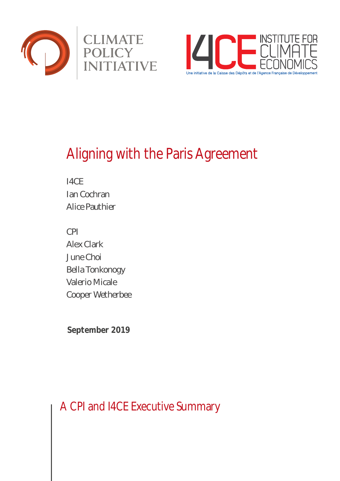



# Aligning with the Paris Agreement

I4CE Ian Cochran Alice Pauthier

CPI Alex Clark June Choi Bella Tonkonogy Valerio Micale Cooper Wetherbee

**September 2019**

A CPI and I4CE Executive Summary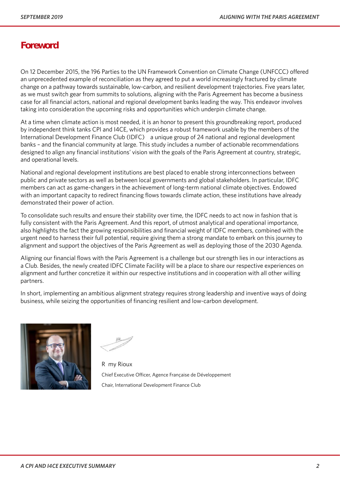# **Foreword**

On 12 December 2015, the 196 Parties to the UN Framework Convention on Climate Change (UNFCCC) offered an unprecedented example of reconciliation as they agreed to put a world increasingly fractured by climate change on a pathway towards sustainable, low-carbon, and resilient development trajectories. Five years later, as we must switch gear from summits to solutions, aligning with the Paris Agreement has become a business case for all financial actors, national and regional development banks leading the way. This endeavor involves taking into consideration the upcoming risks and opportunities which underpin climate change.

At a time when climate action is most needed, it is an honor to present this groundbreaking report, produced by independent think tanks CPI and I4CE, which provides a robust framework usable by the members of the International Development Finance Club (IDFC) – a unique group of 24 national and regional development banks – and the financial community at large. This study includes a number of actionable recommendations designed to align any financial institutions' vision with the goals of the Paris Agreement at country, strategic, and operational levels.

National and regional development institutions are best placed to enable strong interconnections between public and private sectors as well as between local governments and global stakeholders. In particular, IDFC members can act as game-changers in the achievement of long-term national climate objectives. Endowed with an important capacity to redirect financing flows towards climate action, these institutions have already demonstrated their power of action.

To consolidate such results and ensure their stability over time, the IDFC needs to act now in fashion that is fully consistent with the Paris Agreement. And this report, of utmost analytical and operational importance, also highlights the fact the growing responsibilities and financial weight of IDFC members, combined with the urgent need to harness their full potential, require giving them a strong mandate to embark on this journey to alignment and support the objectives of the Paris Agreement as well as deploying those of the 2030 Agenda.

Aligning our financial flows with the Paris Agreement is a challenge but our strength lies in our interactions as a Club. Besides, the newly created IDFC Climate Facility will be a place to share our respective experiences on alignment and further concretize it within our respective institutions and in cooperation with all other willing partners.

In short, implementing an ambitious alignment strategy requires strong leadership and inventive ways of doing business, while seizing the opportunities of financing resilient and low-carbon development.



Rémy Rioux Chief Executive Officer, Agence Française de Développement Chair, International Development Finance Club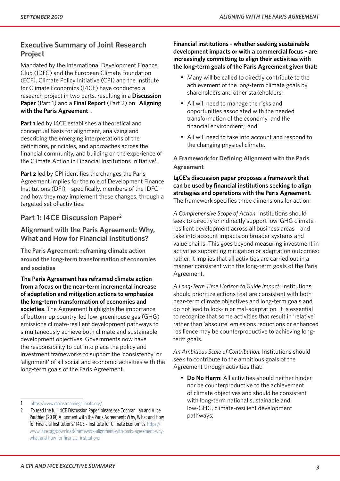# **Executive Summary of Joint Research Project**

Mandated by the International Development Finance Club (IDFC) and the European Climate Foundation (ECF), Climate Policy Initiative (CPI) and the Institute for Climate Economics (I4CE) have conducted a research project in two parts, resulting in a **Discussion Paper** (Part 1) and a **Final Report** (Part 2) on "**Aligning with the Paris Agreement**".

**Part 1** led by I4CE establishes a theoretical and conceptual basis for alignment, analyzing and describing the emerging interpretations of the definitions, principles, and approaches across the financial community, and building on the experience of the Climate Action in Financial Institutions Initiative<sup>1</sup>.

**Part 2** led by CPI identifies the changes the Paris Agreement implies for the role of Development Finance Institutions (DFI) – specifically, members of the IDFC – and how they may implement these changes, through a targeted set of activities.

## **Part 1: I4CE Discussion Paper2**

### **Alignment with the Paris Agreement: Why, What and How for Financial Institutions?**

**The Paris Agreement: reframing climate action around the long-term transformation of economies and societies**

**The Paris Agreement has reframed climate action from a focus on the near-term incremental increase of adaptation and mitigation actions to emphasize the long-term transformation of economies and societies**. The Agreement highlights the importance of bottom-up country-led low-greenhouse gas (GHG) emissions climate-resilient development pathways to simultaneously achieve both climate and sustainable development objectives. Governments now have the responsibility to put into place the policy and investment frameworks to support the 'consistency' or 'alignment' of all social and economic activities with the long-term goals of the Paris Agreement.

### **Financial institutions - whether seeking sustainable development impacts or with a commercial focus – are increasingly committing to align their activities with the long-term goals of the Paris Agreement given that:**

- Many will be called to directly contribute to the achievement of the long-term climate goals by shareholders and other stakeholders;
- All will need to manage the risks and opportunities associated with the needed transformation of the economy and the financial environment; and
- All will need to take into account and respond to the changing physical climate.

**A Framework for Defining Alignment with the Paris Agreement**

### **I4CE's discussion paper proposes a framework that can be used by financial institutions seeking to align strategies and operations with the Paris Agreement**. The framework specifies three dimensions for action:

*A Comprehensive Scope of Action*: Institutions should seek to directly or indirectly support low-GHG climateresilient development across all business areas – and take into account impacts on broader systems and value chains. This goes beyond measuring investment in activities supporting mitigation or adaptation outcomes; rather, it implies that all activities are carried out in a manner consistent with the long-term goals of the Paris Agreement.

*A Long-Term Time Horizon to Guide Impact:* Institutions should prioritize actions that are consistent with both near-term climate objectives and long-term goals and do not lead to lock-in or mal-adaptation. It is essential to recognize that some activities that result in 'relative' rather than 'absolute' emissions reductions or enhanced resilience may be counterproductive to achieving longterm goals.

*An Ambitious Scale of Contribution:* Institutions should seek to contribute to the ambitious goals of the Agreement through activities that:

• **Do No Harm**: All activities should neither hinder nor be counterproductive to the achievement of climate objectives and should be consistent with long-term national sustainable and low-GHG, climate-resilient development pathways;

<sup>1</sup> https://www.mainstreamingclimate.org/

<sup>2</sup> To read the full I4CE Discussion Paper, please see Cochran, Ian and Alice Pauthier (2019) Alignment with the Paris Agreement: Why, What and How for Financial Institutions? I4CE - Institute for Climate Economics. https:// www.i4ce.org/download/framework-alignment-with-paris-agreement-whywhat-and-how-for-financial-institutions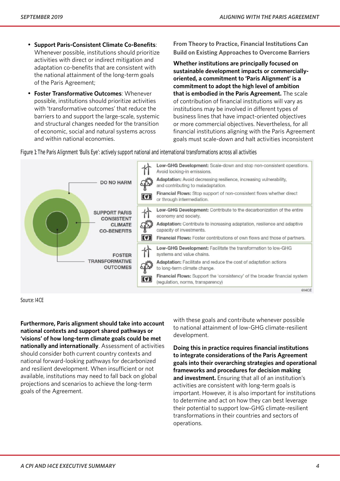- **Support Paris-Consistent Climate Co-Benefits**: Whenever possible, institutions should prioritize activities with direct or indirect mitigation and adaptation co-benefits that are consistent with the national attainment of the long-term goals of the Paris Agreement;
- **Foster Transformative Outcomes**: Whenever possible, institutions should prioritize activities with 'transformative outcomes' that reduce the barriers to and support the large-scale, systemic and structural changes needed for the transition of economic, social and natural systems across and within national economies.

**From Theory to Practice, Financial Institutions Can Build on Existing Approaches to Overcome Barriers** 

**Whether institutions are principally focused on sustainable development impacts or commerciallyoriented, a commitment to 'Paris Alignment' is a commitment to adopt the high level of ambition that is embodied in the Paris Agreement.** The scale of contribution of financial institutions will vary as institutions may be involved in different types of business lines that have impact-oriented objectives or more commercial objectives. Nevertheless, for all financial institutions aligning with the Paris Agreement goals must scale-down and halt activities inconsistent

Figure 1: The Paris Alignment 'Bulls Eye': actively support national and international transformations across all activities



#### Source: I4CE

**Furthermore, Paris alignment should take into account national contexts and support shared pathways or 'visions' of how long-term climate goals could be met nationally and internationally**. Assessment of activities should consider both current country contexts and national forward-looking pathways for decarbonized and resilient development. When insufficient or not available, institutions may need to fall back on global projections and scenarios to achieve the long-term goals of the Agreement.

with these goals and contribute whenever possible to national attainment of low-GHG climate-resilient development.

**Doing this in practice requires financial institutions to integrate considerations of the Paris Agreement goals into their overarching strategies and operational frameworks and procedures for decision making and investment.** Ensuring that all of an institution's activities are consistent with long-term goals is important. However, it is also important for institutions to determine and act on how they can best leverage their potential to support low-GHG climate-resilient transformations in their countries and sectors of operations.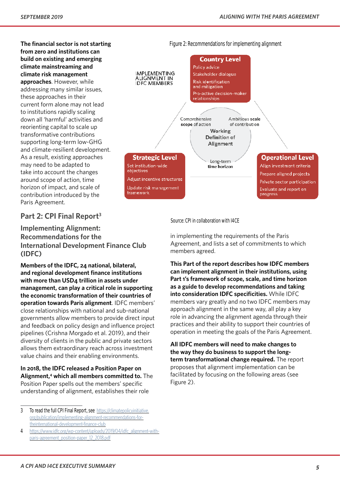**The financial sector is not starting from zero and institutions can build on existing and emerging climate mainstreaming and climate risk management approaches**. However, while addressing many similar issues, these approaches in their current form alone may not lead to institutions rapidly scaling down all 'harmful' activities and reorienting capital to scale up transformative contributions supporting long-term low-GHG and climate-resilient development. As a result, existing approaches may need to be adapted to take into account the changes around scope of action, time horizon of impact, and scale of contribution introduced by the Paris Agreement.

## **Part 2: CPI Final Report3**

**Implementing Alignment: Recommendations for the International Development Finance Club (IDFC)**

**Members of the IDFC, 24 national, bilateral, and regional development finance institutions with more than USD4 trillion in assets under management, can play a critical role in supporting the economic transformation of their countries of operation towards Paris alignment**. IDFC members' close relationships with national and sub-national governments allow members to provide direct input and feedback on policy design and influence project pipelines (Crishna Morgado et al. 2019), and their diversity of clients in the public and private sectors allows them extraordinary reach across investment value chains and their enabling environments.

**In 2018, the IDFC released a Position Paper on Alignment,4 which all members committed to.** The Position Paper spells out the members' specific understanding of alignment, establishes their role



Source: CPI in collaboration with I4CE

in implementing the requirements of the Paris Agreement, and lists a set of commitments to which members agreed.

**This Part of the report describes how IDFC members can implement alignment in their institutions, using Part 1's framework of scope, scale, and time horizon as a guide to develop recommendations and taking into consideration IDFC specificities.** While IDFC members vary greatly and no two IDFC members may approach alignment in the same way, all play a key role in advancing the alignment agenda through their practices and their ability to support their countries of operation in meeting the goals of the Paris Agreement.

**All IDFC members will need to make changes to the way they do business to support the longterm transformational change required.** The report proposes that alignment implementation can be facilitated by focusing on the following areas (see Figure 2).

<sup>3</sup> To read the full CPI Final Report, see https://climatepolicyinitiative. org/publication/implementing-alignment-recommendations-fortheinternational-development-finance-club

<sup>4</sup> https://www.idfc.org/wp-content/uploads/2019/04/idfc\_alignment-withparis-agreement\_position-paper\_12\_2018.pdf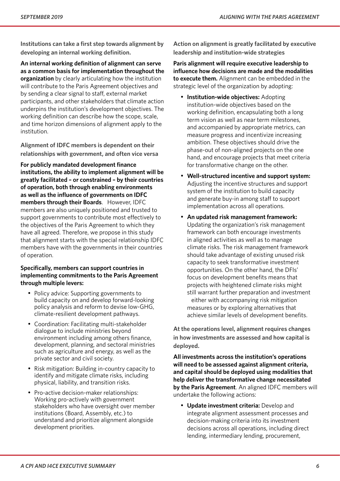**Institutions can take a first step towards alignment by developing an internal working definition.** 

**An internal working definition of alignment can serve as a common basis for implementation throughout the organization** by clearly articulating how the institution will contribute to the Paris Agreement objectives and by sending a clear signal to staff, external market participants, and other stakeholders that climate action underpins the institution's development objectives. The working definition can describe how the scope, scale, and time horizon dimensions of alignment apply to the institution.

**Alignment of IDFC members is dependent on their relationships with government, and often vice versa**

**For publicly mandated development finance institutions, the ability to implement alignment will be greatly facilitated – or constrained – by their countries of operation, both through enabling environments as well as the influence of governments on IDFC members through their Boards**. However, IDFC members are also uniquely positioned and trusted to support governments to contribute most effectively to the objectives of the Paris Agreement to which they have all agreed. Therefore, we propose in this study that alignment starts with the special relationship IDFC members have with the governments in their countries of operation.

### **Specifically, members can support countries in implementing commitments to the Paris Agreement through multiple levers:**

- Policy advice: Supporting governments to build capacity on and develop forward-looking policy analysis and reform to devise low-GHG, climate-resilient development pathways.
- Coordination: Facilitating multi-stakeholder dialogue to include ministries beyond environment including among others finance, development, planning, and sectoral ministries such as agriculture and energy, as well as the private sector and civil society.
- Risk mitigation: Building in-country capacity to identify and mitigate climate risks, including physical, liability, and transition risks.
- Pro-active decision-maker relationships: Working pro-actively with government stakeholders who have oversight over member institutions (Board, Assembly, etc.) to understand and prioritize alignment alongside development priorities.

**Action on alignment is greatly facilitated by executive leadership and institution-wide strategies**

**Paris alignment will require executive leadership to influence how decisions are made and the modalities to execute them.** Alignment can be embedded in the strategic level of the organization by adopting:

- **Institution-wide objectives:** Adopting institution-wide objectives based on the working definition, encapsulating both a long term vision as well as near term milestones, and accompanied by appropriate metrics, can measure progress and incentivize increasing ambition. These objectives should drive the phase-out of non-aligned projects on the one hand, and encourage projects that meet criteria for transformative change on the other.
- **Well-structured incentive and support system:** Adjusting the incentive structures and support system of the institution to build capacity and generate buy-in among staff to support implementation across all operations.
- **An updated risk management framework:** Updating the organization's risk management framework can both encourage investments in aligned activities as well as to manage climate risks. The risk management framework should take advantage of existing unused risk capacity to seek transformative investment opportunities. On the other hand, the DFIs' focus on development benefits means that projects with heightened climate risks might still warrant further preparation and investment – either with accompanying risk mitigation measures or by exploring alternatives that achieve similar levels of development benefits.

**At the operations level, alignment requires changes in how investments are assessed and how capital is deployed.** 

**All investments across the institution's operations will need to be assessed against alignment criteria, and capital should be deployed using modalities that help deliver the transformative change necessitated by the Paris Agreement**. An aligned IDFC members will undertake the following actions:

• **Update investment criteria:** Develop and integrate alignment assessment processes and decision-making criteria into its investment decisions across all operations, including direct lending, intermediary lending, procurement,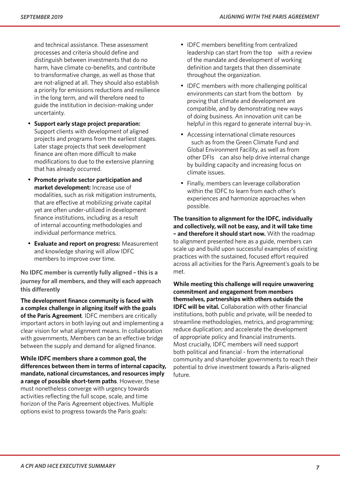and technical assistance. These assessment processes and criteria should define and distinguish between investments that do no harm, have climate co-benefits, and contribute to transformative change, as well as those that are not-aligned at all. They should also establish a priority for emissions reductions and resilience in the long term, and will therefore need to guide the institution in decision-making under uncertainty.

- **Support early stage project preparation:** Support clients with development of aligned projects and programs from the earliest stages. Later stage projects that seek development finance are often more difficult to make modifications to due to the extensive planning that has already occurred.
- **Promote private sector participation and market development:** Increase use of modalities, such as risk mitigation instruments, that are effective at mobilizing private capital yet are often under-utilized in development finance institutions, including as a result of internal accounting methodologies and individual performance metrics.
- **Evaluate and report on progress:** Measurement and knowledge sharing will allow IDFC members to improve over time.

**No IDFC member is currently fully aligned – this is a journey for all members, and they will each approach this differently**

**The development finance community is faced with a complex challenge in aligning itself with the goals of the Paris Agreement**. IDFC members are critically important actors in both laying out and implementing a clear vision for what alignment means. In collaboration with governments, Members can be an effective bridge between the supply and demand for aligned finance.

**While IDFC members share a common goal, the differences between them in terms of internal capacity, mandate, national circumstances, and resources imply a range of possible short-term paths**. However, these must nonetheless converge with urgency towards activities reflecting the full scope, scale, and time horizon of the Paris Agreement objectives. Multiple options exist to progress towards the Paris goals:

- IDFC members benefiting from centralized leadership can start from the top – with a review of the mandate and development of working definition and targets that then disseminate throughout the organization.
- IDFC members with more challenging political environments can start from the bottom – by proving that climate and development are compatible, and by demonstrating new ways of doing business. An innovation unit can be helpful in this regard to generate internal buy-in.
- Accessing international climate resources – such as from the Green Climate Fund and Global Environment Facility, as well as from other DFIs – can also help drive internal change by building capacity and increasing focus on climate issues.
- Finally, members can leverage collaboration within the IDFC to learn from each other's experiences and harmonize approaches when possible.

**The transition to alignment for the IDFC, individually and collectively, will not be easy, and it will take time – and therefore it should start now.** With the roadmap to alignment presented here as a guide, members can scale up and build upon successful examples of existing practices with the sustained, focused effort required across all activities for the Paris Agreement's goals to be met.

**While meeting this challenge will require unwavering commitment and engagement from members themselves, partnerships with others outside the IDFC will be vital.** Collaboration with other financial institutions, both public and private, will be needed to streamline methodologies, metrics, and programming; reduce duplication; and accelerate the development of appropriate policy and financial instruments. Most crucially, IDFC members will need support – both political and financial - from the international community and shareholder governments to reach their potential to drive investment towards a Paris-aligned future.